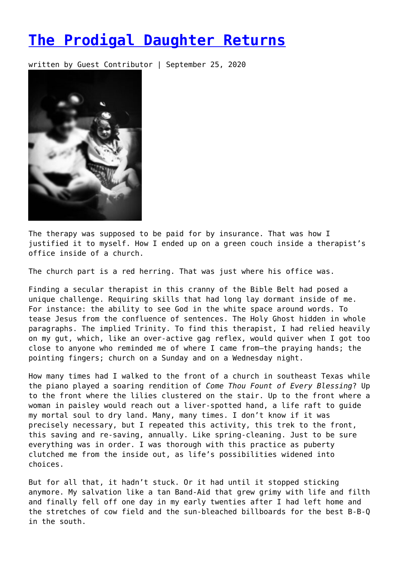## **[The Prodigal Daughter Returns](https://entropymag.org/the-prodigal-daughter-returns/)**

written by Guest Contributor | September 25, 2020



The therapy was supposed to be paid for by insurance. That was how I justified it to myself. How I ended up on a green couch inside a therapist's office inside of a church.

The church part is a red herring. That was just where his office was.

Finding a secular therapist in this cranny of the Bible Belt had posed a unique challenge. Requiring skills that had long lay dormant inside of me. For instance: the ability to see God in the white space around words. To tease Jesus from the confluence of sentences. The Holy Ghost hidden in whole paragraphs. The implied Trinity. To find this therapist, I had relied heavily on my gut, which, like an over-active gag reflex, would quiver when I got too close to anyone who reminded me of where I came from—the praying hands; the pointing fingers; church on a Sunday and on a Wednesday night.

How many times had I walked to the front of a church in southeast Texas while the piano played a soaring rendition of *Come Thou Fount of Every Blessing*? Up to the front where the lilies clustered on the stair. Up to the front where a woman in paisley would reach out a liver-spotted hand, a life raft to guide my mortal soul to dry land. Many, many times. I don't know if it was precisely necessary, but I repeated this activity, this trek to the front, this saving and re-saving, annually. Like spring-cleaning. Just to be sure everything was in order. I was thorough with this practice as puberty clutched me from the inside out, as life's possibilities widened into choices.

But for all that, it hadn't stuck. Or it had until it stopped sticking anymore. My salvation like a tan Band-Aid that grew grimy with life and filth and finally fell off one day in my early twenties after I had left home and the stretches of cow field and the sun-bleached billboards for the best B-B-Q in the south.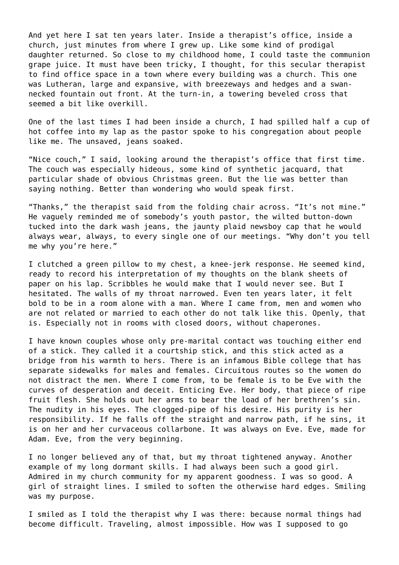And yet here I sat ten years later. Inside a therapist's office, inside a church, just minutes from where I grew up. Like some kind of prodigal daughter returned. So close to my childhood home, I could taste the communion grape juice. It must have been tricky, I thought, for this secular therapist to find office space in a town where every building was a church. This one was Lutheran, large and expansive, with breezeways and hedges and a swannecked fountain out front. At the turn-in, a towering beveled cross that seemed a bit like overkill.

One of the last times I had been inside a church, I had spilled half a cup of hot coffee into my lap as the pastor spoke to his congregation about people like me. The unsaved, jeans soaked.

"Nice couch," I said, looking around the therapist's office that first time. The couch was especially hideous, some kind of synthetic jacquard, that particular shade of obvious Christmas green. But the lie was better than saying nothing. Better than wondering who would speak first.

"Thanks," the therapist said from the folding chair across. "It's not mine." He vaguely reminded me of somebody's youth pastor, the wilted button-down tucked into the dark wash jeans, the jaunty plaid newsboy cap that he would always wear, always, to every single one of our meetings. "Why don't you tell me why you're here."

I clutched a green pillow to my chest, a knee-jerk response. He seemed kind, ready to record his interpretation of my thoughts on the blank sheets of paper on his lap. Scribbles he would make that I would never see. But I hesitated. The walls of my throat narrowed. Even ten years later, it felt bold to be in a room alone with a man. Where I came from, men and women who are not related or married to each other do not talk like this. Openly, that is. Especially not in rooms with closed doors, without chaperones.

I have known couples whose only pre-marital contact was touching either end of a stick. They called it a courtship stick, and this stick acted as a bridge from his warmth to hers. There is an infamous Bible college that has separate sidewalks for males and females. Circuitous routes so the women do not distract the men. Where I come from, to be female is to be Eve with the curves of desperation and deceit. Enticing Eve. Her body, that piece of ripe fruit flesh. She holds out her arms to bear the load of her brethren's sin. The nudity in his eyes. The clogged-pipe of his desire. His purity is her responsibility. If he falls off the straight and narrow path, if he sins, it is on her and her curvaceous collarbone. It was always on Eve. Eve, made for Adam. Eve, from the very beginning.

I no longer believed any of that, but my throat tightened anyway. Another example of my long dormant skills. I had always been such a good girl. Admired in my church community for my apparent goodness. I was so good. A girl of straight lines. I smiled to soften the otherwise hard edges. Smiling was my purpose.

I smiled as I told the therapist why I was there: because normal things had become difficult. Traveling, almost impossible. How was I supposed to go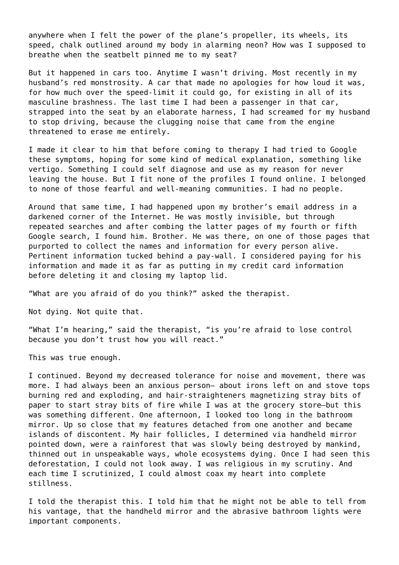anywhere when I felt the power of the plane's propeller, its wheels, its speed, chalk outlined around my body in alarming neon? How was I supposed to breathe when the seatbelt pinned me to my seat?

But it happened in cars too. Anytime I wasn't driving. Most recently in my husband's red monstrosity. A car that made no apologies for how loud it was, for how much over the speed-limit it could go, for existing in all of its masculine brashness. The last time I had been a passenger in that car, strapped into the seat by an elaborate harness, I had screamed for my husband to stop driving, because the clugging noise that came from the engine threatened to erase me entirely.

I made it clear to him that before coming to therapy I had tried to Google these symptoms, hoping for some kind of medical explanation, something like vertigo. Something I could self diagnose and use as my reason for never leaving the house. But I fit none of the profiles I found online. I belonged to none of those fearful and well-meaning communities. I had no people.

Around that same time, I had happened upon my brother's email address in a darkened corner of the Internet. He was mostly invisible, but through repeated searches and after combing the latter pages of my fourth or fifth Google search, I found him. Brother. He was there, on one of those pages that purported to collect the names and information for every person alive. Pertinent information tucked behind a pay-wall. I considered paying for his information and made it as far as putting in my credit card information before deleting it and closing my laptop lid.

"What are you afraid of do you think?" asked the therapist.

Not dying. Not quite that.

"What I'm hearing," said the therapist, "is you're afraid to lose control because you don't trust how you will react."

This was true enough.

I continued. Beyond my decreased tolerance for noise and movement, there was more. I had always been an anxious person– about irons left on and stove tops burning red and exploding, and hair-straighteners magnetizing stray bits of paper to start stray bits of fire while I was at the grocery store—but this was something different. One afternoon, I looked too long in the bathroom mirror. Up so close that my features detached from one another and became islands of discontent. My hair follicles, I determined via handheld mirror pointed down, were a rainforest that was slowly being destroyed by mankind, thinned out in unspeakable ways, whole ecosystems dying. Once I had seen this deforestation, I could not look away. I was religious in my scrutiny. And each time I scrutinized, I could almost coax my heart into complete stillness.

I told the therapist this. I told him that he might not be able to tell from his vantage, that the handheld mirror and the abrasive bathroom lights were important components.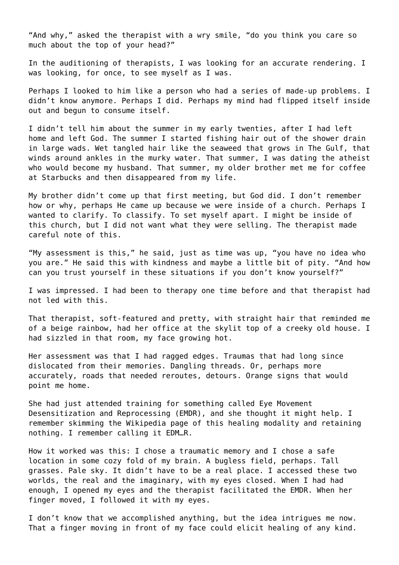"And why," asked the therapist with a wry smile, "do you think you care so much about the top of your head?"

In the auditioning of therapists, I was looking for an accurate rendering. I was looking, for once, to see myself as I was.

Perhaps I looked to him like a person who had a series of made-up problems. I didn't know anymore. Perhaps I did. Perhaps my mind had flipped itself inside out and begun to consume itself.

I didn't tell him about the summer in my early twenties, after I had left home and left God. The summer I started fishing hair out of the shower drain in large wads. Wet tangled hair like the seaweed that grows in The Gulf, that winds around ankles in the murky water. That summer, I was dating the atheist who would become my husband. That summer, my older brother met me for coffee at Starbucks and then disappeared from my life.

My brother didn't come up that first meeting, but God did. I don't remember how or why, perhaps He came up because we were inside of a church. Perhaps I wanted to clarify. To classify. To set myself apart. I might be inside of this church, but I did not want what they were selling. The therapist made careful note of this.

"My assessment is this," he said, just as time was up, "you have no idea who you are." He said this with kindness and maybe a little bit of pity. "And how can you trust yourself in these situations if you don't know yourself?"

I was impressed. I had been to therapy one time before and that therapist had not led with this.

That therapist, soft-featured and pretty, with straight hair that reminded me of a beige rainbow, had her office at the skylit top of a creeky old house. I had sizzled in that room, my face growing hot.

Her assessment was that I had ragged edges. Traumas that had long since dislocated from their memories. Dangling threads. Or, perhaps more accurately, roads that needed reroutes, detours. Orange signs that would point me home.

She had just attended training for something called Eye Movement Desensitization and Reprocessing (EMDR), and she thought it might help. I remember skimming the Wikipedia page of this healing modality and retaining nothing. I remember calling it EDM…R.

How it worked was this: I chose a traumatic memory and I chose a safe location in some cozy fold of my brain. A bugless field, perhaps. Tall grasses. Pale sky. It didn't have to be a real place. I accessed these two worlds, the real and the imaginary, with my eyes closed. When I had had enough, I opened my eyes and the therapist facilitated the EMDR. When her finger moved, I followed it with my eyes.

I don't know that we accomplished anything, but the idea intrigues me now. That a finger moving in front of my face could elicit healing of any kind.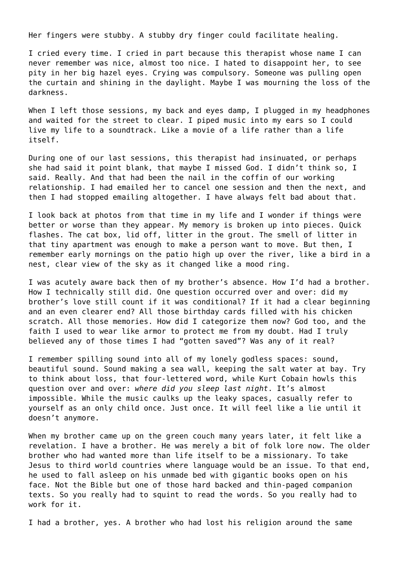Her fingers were stubby. A stubby dry finger could facilitate healing.

I cried every time. I cried in part because this therapist whose name I can never remember was nice, almost too nice. I hated to disappoint her, to see pity in her big hazel eyes. Crying was compulsory. Someone was pulling open the curtain and shining in the daylight. Maybe I was mourning the loss of the darkness.

When I left those sessions, my back and eyes damp, I plugged in my headphones and waited for the street to clear. I piped music into my ears so I could live my life to a soundtrack. Like a movie of a life rather than a life itself.

During one of our last sessions, this therapist had insinuated, or perhaps she had said it point blank, that maybe I missed God. I didn't think so, I said. Really. And that had been the nail in the coffin of our working relationship. I had emailed her to cancel one session and then the next, and then I had stopped emailing altogether. I have always felt bad about that.

I look back at photos from that time in my life and I wonder if things were better or worse than they appear. My memory is broken up into pieces. Quick flashes. The cat box, lid off, litter in the grout. The smell of litter in that tiny apartment was enough to make a person want to move. But then, I remember early mornings on the patio high up over the river, like a bird in a nest, clear view of the sky as it changed like a mood ring.

I was acutely aware back then of my brother's absence. How I'd had a brother. How I technically still did. One question occurred over and over: did my brother's love still count if it was conditional? If it had a clear beginning and an even clearer end? All those birthday cards filled with his chicken scratch. All those memories. How did I categorize them now? God too, and the faith I used to wear like armor to protect me from my doubt. Had I truly believed any of those times I had "gotten saved"? Was any of it real?

I remember spilling sound into all of my lonely godless spaces: sound, beautiful sound. Sound making a sea wall, keeping the salt water at bay. Try to think about loss, that four-lettered word, while Kurt Cobain howls this question over and over: *where did you sleep last night*. It's almost impossible. While the music caulks up the leaky spaces, casually refer to yourself as an only child once. Just once. It will feel like a lie until it doesn't anymore.

When my brother came up on the green couch many years later, it felt like a revelation. I have a brother. He was merely a bit of folk lore now. The older brother who had wanted more than life itself to be a missionary. To take Jesus to third world countries where language would be an issue. To that end, he used to fall asleep on his unmade bed with gigantic books open on his face. Not the Bible but one of those hard backed and thin-paged companion texts. So you really had to squint to read the words. So you really had to work for it.

I had a brother, yes. A brother who had lost his religion around the same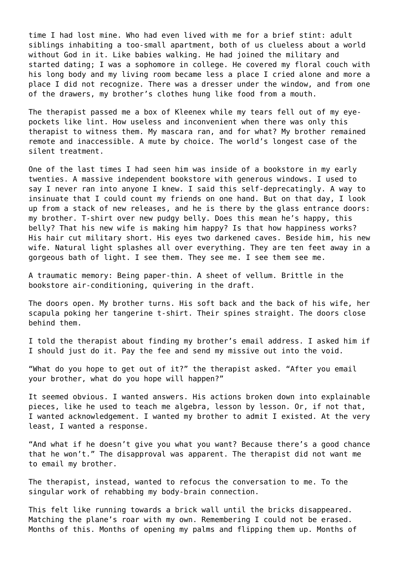time I had lost mine. Who had even lived with me for a brief stint: adult siblings inhabiting a too-small apartment, both of us clueless about a world without God in it. Like babies walking. He had joined the military and started dating; I was a sophomore in college. He covered my floral couch with his long body and my living room became less a place I cried alone and more a place I did not recognize. There was a dresser under the window, and from one of the drawers, my brother's clothes hung like food from a mouth.

The therapist passed me a box of Kleenex while my tears fell out of my eyepockets like lint. How useless and inconvenient when there was only this therapist to witness them. My mascara ran, and for what? My brother remained remote and inaccessible. A mute by choice. The world's longest case of the silent treatment.

One of the last times I had seen him was inside of a bookstore in my early twenties. A massive independent bookstore with generous windows. I used to say I never ran into anyone I knew. I said this self-deprecatingly. A way to insinuate that I could count my friends on one hand. But on that day, I look up from a stack of new releases, and he is there by the glass entrance doors: my brother. T-shirt over new pudgy belly. Does this mean he's happy, this belly? That his new wife is making him happy? Is that how happiness works? His hair cut military short. His eyes two darkened caves. Beside him, his new wife. Natural light splashes all over everything. They are ten feet away in a gorgeous bath of light. I see them. They see me. I see them see me.

A traumatic memory: Being paper-thin. A sheet of vellum. Brittle in the bookstore air-conditioning, quivering in the draft.

The doors open. My brother turns. His soft back and the back of his wife, her scapula poking her tangerine t-shirt. Their spines straight. The doors close behind them.

I told the therapist about finding my brother's email address. I asked him if I should just do it. Pay the fee and send my missive out into the void.

"What do you hope to get out of it?" the therapist asked. "After you email your brother, what do you hope will happen?"

It seemed obvious. I wanted answers. His actions broken down into explainable pieces, like he used to teach me algebra, lesson by lesson. Or, if not that, I wanted acknowledgement. I wanted my brother to admit I existed. At the very least, I wanted a response.

"And what if he doesn't give you what you want? Because there's a good chance that he won't." The disapproval was apparent. The therapist did not want me to email my brother.

The therapist, instead, wanted to refocus the conversation to me. To the singular work of rehabbing my body-brain connection.

This felt like running towards a brick wall until the bricks disappeared. Matching the plane's roar with my own. Remembering I could not be erased. Months of this. Months of opening my palms and flipping them up. Months of